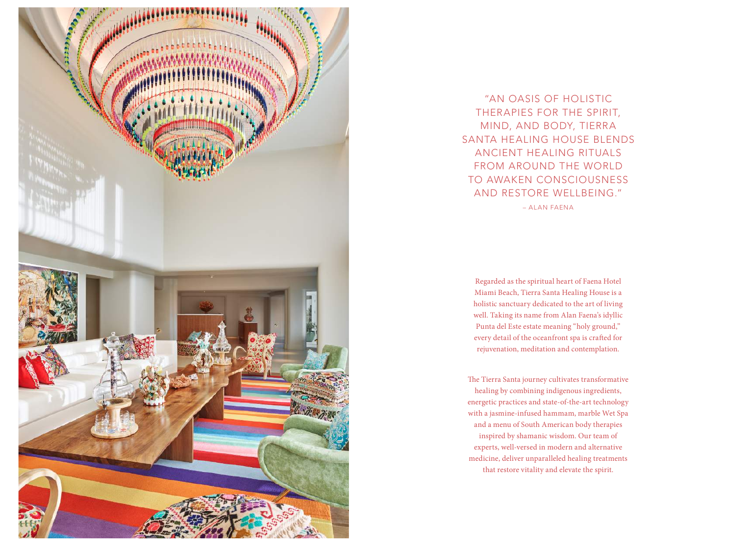

"AN OASIS OF HOLISTIC THERAPIES FOR THE SPIRIT, MIND, AND BODY, TIERRA SANTA HEALING HOUSE BLENDS ANCIENT HEALING RITUALS FROM AROUND THE WORLD TO AWAKEN CONSCIOUSNESS AND RESTORE WELLBEING."

– ALAN FAENA

Regarded as the spiritual heart of Faena Hotel Miami Beach, Tierra Santa Healing House is a holistic sanctuary dedicated to the art of living well. Taking its name from Alan Faena's idyllic Punta del Este estate meaning "holy ground," every detail of the oceanfront spa is crafted for rejuvenation, meditation and contemplation.

The Tierra Santa journey cultivates transformative healing by combining indigenous ingredients, energetic practices and state-of-the-art technology with a jasmine-infused hammam, marble Wet Spa and a menu of South American body therapies inspired by shamanic wisdom. Our team of experts, well-versed in modern and alternative medicine, deliver unparalleled healing treatments that restore vitality and elevate the spirit.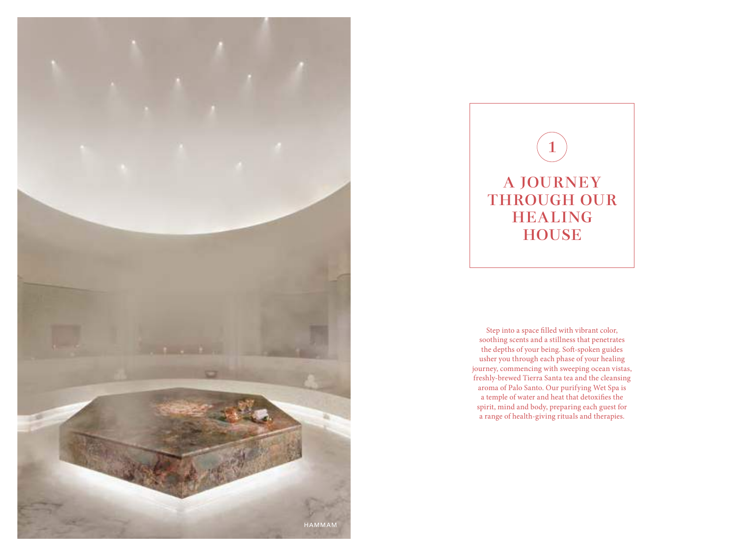

# A JOURNEY THROUGH OUR HEALING **HOUSE** 1

Step into a space filled with vibrant color, soothing scents and a stillness that penetrates the depths of your being. Soft-spoken guides usher you through each phase of your healing journey, commencing with sweeping ocean vistas, freshly-brewed Tierra Santa tea and the cleansing aroma of Palo Santo. Our purifying Wet Spa is a temple of water and heat that detoxifies the spirit, mind and body, preparing each guest for a range of health-giving rituals and therapies.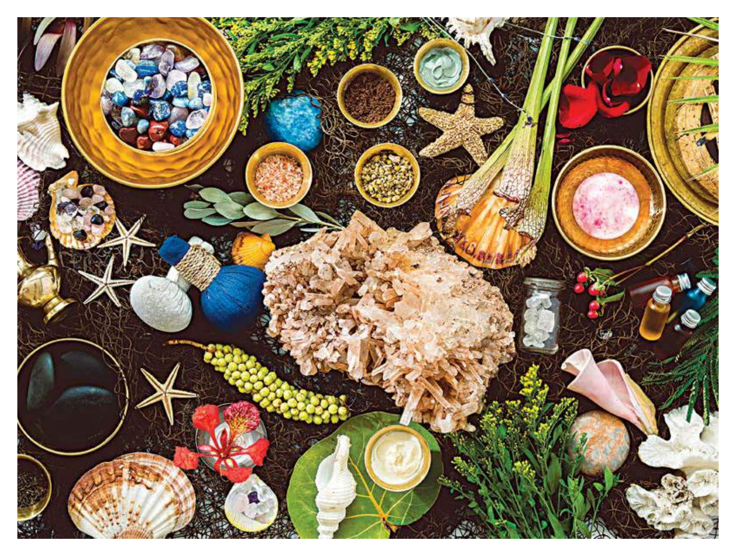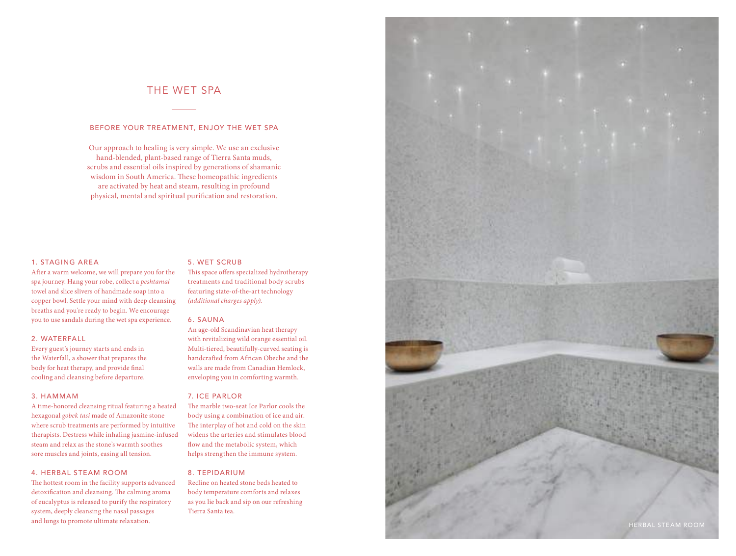## THE WET SPA

#### BEFORE YOUR TREATMENT, ENJOY THE WET SPA

Our approach to healing is very simple. We use an exclusive hand-blended, plant-based range of Tierra Santa muds, scrubs and essential oils inspired by generations of shamanic wisdom in South America. These homeopathic ingredients are activated by heat and steam, resulting in profound physical, mental and spiritual purification and restoration.

#### 1. STAGING AREA

After a warm welcome, we will prepare you for the spa journey. Hang your robe, collect a *peshtamal* towel and slice slivers of handmade soap into a copper bowl. Settle your mind with deep cleansing breaths and you're ready to begin. We encourage you to use sandals during the wet spa experience.

#### 2. WATERFALL

Every guest's journey starts and ends in the Waterfall, a shower that prepares the body for heat therapy, and provide final cooling and cleansing before departure.

#### 3. HAMMAM

A time-honored cleansing ritual featuring a heated hexagonal *gobek tasi* made of Amazonite stone where scrub treatments are performed by intuitive therapists. Destress while inhaling jasmine-infused steam and relax as the stone's warmth soothes sore muscles and joints, easing all tension.

#### 4. HERBAL STEAM ROOM

The hottest room in the facility supports advanced detoxification and cleansing. The calming aroma of eucalyptus is released to purify the respiratory system, deeply cleansing the nasal passages and lungs to promote ultimate relaxation.

## 5. WET SCRUB

This space offers specialized hydrotherapy treatments and traditional body scrubs featuring state-of-the-art technology *(additional charges apply)* .

#### 6. SAUNA

An age-old Scandinavian heat therapy with revitalizing wild orange essential oil. Multi-tiered, beautifully-curved seating is handcrafted from African Obeche and the walls are made from Canadian Hemlock, enveloping you in comforting warmth.

#### 7. ICE PARLOR

The marble two-seat Ice Parlor cools the body using a combination of ice and air. The interplay of hot and cold on the skin widens the arteries and stimulates blood flow and the metabolic system, which helps strengthen the immune system.

#### 8. TEPIDARIUM

Recline on heated stone beds heated to body temperature comforts and relaxes as you lie back and sip on our refreshing Tierra Santa tea.

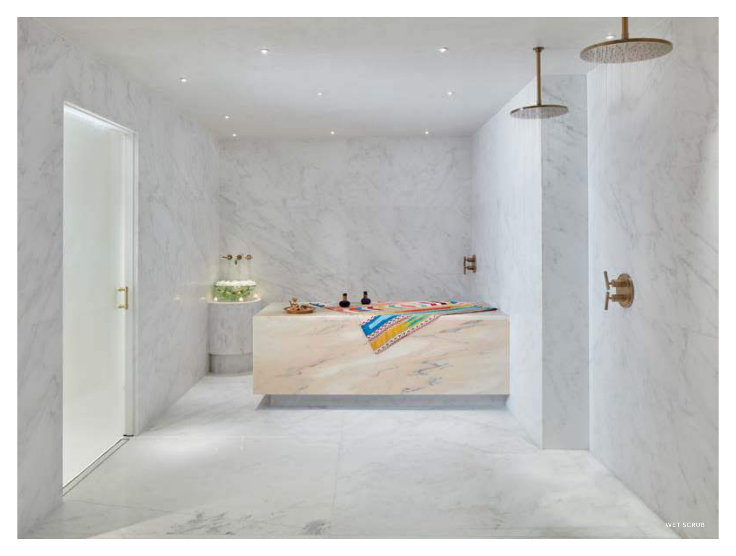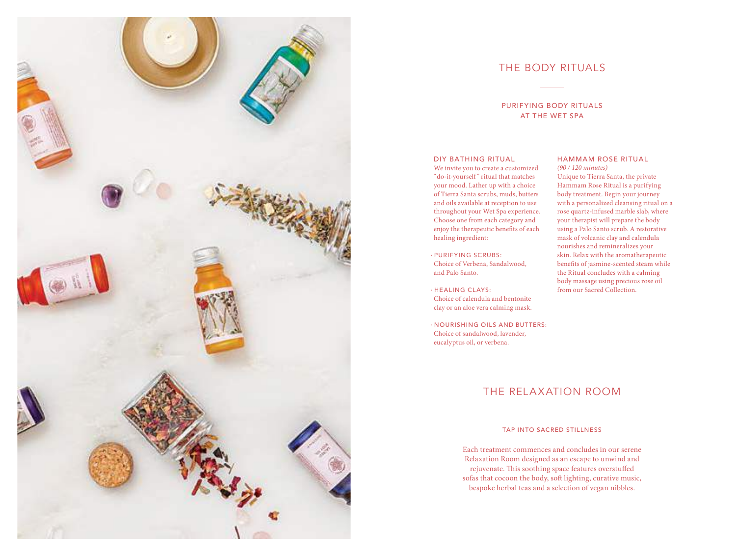

## THE BODY RITUALS

#### PURIFYING BODY RITUALS AT THE WET SPA

#### DIY BATHING RITUAL

We invite you to create a customized "do-it-yourself" ritual that matches your mood. Lather up with a choice of Tierra Santa scrubs, muds, butters and oils available at reception to use throughout your Wet Spa experience. Choose one from each category and enjoy the therapeutic benefits of each healing ingredient:

· PURIFYING SCRUBS: Choice of Verbena, Sandalwood, and Palo Santo.

· HEALING CLAYS: Choice of calendula and bentonite clay or an aloe vera calming mask.

· NOURISHING OILS AND BUTTERS: Choice of sandalwood, lavender, eucalyptus oil, or verbena.

#### HAMMAM ROSE RITUAL

*(90 / 120 minutes)* Unique to Tierra Santa, the private Hammam Rose Ritual is a purifying body treatment. Begin your journey with a personalized cleansing ritual on a rose quartz-infused marble slab, where your therapist will prepare the body using a Palo Santo scrub. A restorative mask of volcanic clay and calendula nourishes and remineralizes your skin. Relax with the aromatherapeutic benefits of jasmine-scented steam while the Ritual concludes with a calming body massage using precious rose oil from our Sacred Collection.

## THE RELAXATION ROOM

#### TAP INTO SACRED STILLNESS

Each treatment commences and concludes in our serene Relaxation Room designed as an escape to unwind and rejuvenate. This soothing space features overstuffed sofas that cocoon the body, soft lighting, curative music, bespoke herbal teas and a selection of vegan nibbles.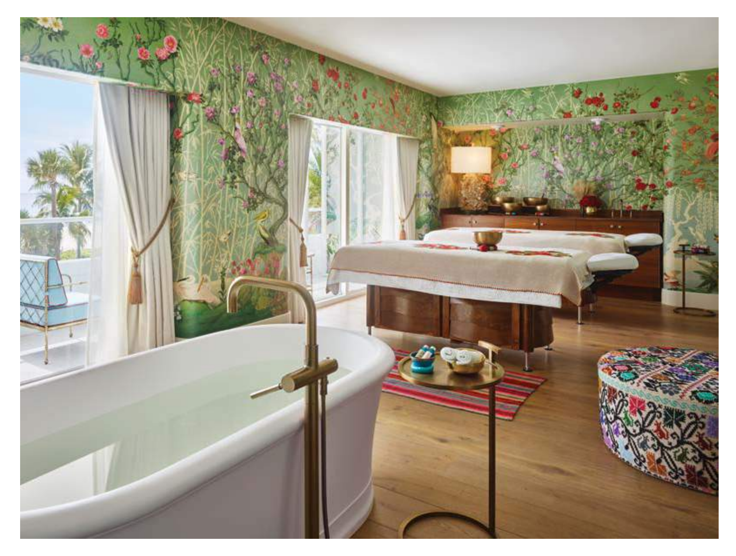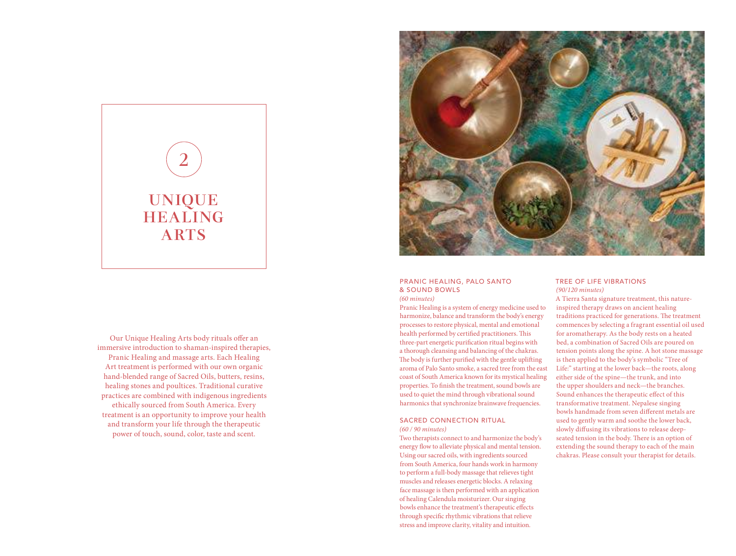

Our Unique Healing Arts body rituals offer an immersive introduction to shaman-inspired therapies, Pranic Healing and massage arts. Each Healing Art treatment is performed with our own organic hand-blended range of Sacred Oils, butters, resins, healing stones and poultices. Traditional curative practices are combined with indigenous ingredients ethically sourced from South America. Every treatment is an opportunity to improve your health and transform your life through the therapeutic power of touch, sound, color, taste and scent.



#### PRANIC HEALING, PALO SANTO & SOUND BOWLS *(60 minutes)*

Pranic Healing is a system of energy medicine used to harmonize, balance and transform the body's energy processes to restore physical, mental and emotional health performed by certified practitioners. This three-part energetic purification ritual begins with a thorough cleansing and balancing of the chakras. The body is further purified with the gentle uplifting aroma of Palo Santo smoke, a sacred tree from the east coast of South America known for its mystical healing properties. To finish the treatment, sound bowls are used to quiet the mind through vibrational sound harmonics that synchronize brainwave frequencies.

#### SACRED CONNECTION RITUAL *(60 / 90 minutes)*

Two therapists connect to and harmonize the body's energy flow to alleviate physical and mental tension. Using our sacred oils, with ingredients sourced from South America, four hands work in harmony to perform a full-body massage that relieves tight muscles and releases energetic blocks. A relaxing face massage is then performed with an application of healing Calendula moisturizer. Our singing bowls enhance the treatment's therapeutic effects through specific rhythmic vibrations that relieve stress and improve clarity, vitality and intuition.

#### TREE OF LIFE VIBRATIONS *(90/120 minutes)*

A Tierra Santa signature treatment, this natureinspired therapy draws on ancient healing traditions practiced for generations. The treatment commences by selecting a fragrant essential oil used for aromatherapy. As the body rests on a heated bed, a combination of Sacred Oils are poured on tension points along the spine. A hot stone massage is then applied to the body's symbolic "Tree of Life:" starting at the lower back—the roots, along either side of the spine—the trunk, and into the upper shoulders and neck—the branches. Sound enhances the therapeutic effect of this transformative treatment. Nepalese singing bowls handmade from seven different metals are used to gently warm and soothe the lower back, slowly diffusing its vibrations to release deepseated tension in the body. There is an option of extending the sound therapy to each of the main chakras. Please consult your therapist for details.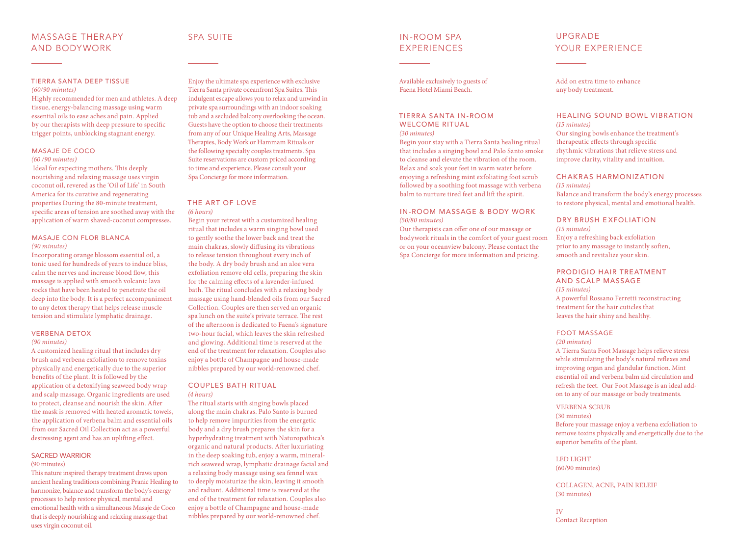## MASSAGE THERAPY AND BODYWORK

#### TIERRA SANTA DEEP TISSUE *(60/90 minutes)*

Highly recommended for men and athletes. A deep tissue, energy-balancing massage using warm essential oils to ease aches and pain. Applied by our therapists with deep pressure to specific trigger points, unblocking stagnant energy.

## MASAJE DE COCO

#### *(60 /90 minutes)*

Ideal for expecting mothers. This deeply nourishing and relaxing massage uses virgin coconut oil, revered as the 'Oil of Life' in South America for its curative and regenerating properties During the 80-minute treatment, specific areas of tension are soothed away with the application of warm shaved-coconut compresses.

#### MASAJE CON FLOR BLANCA *(90 minutes)*

Incorporating orange blossom essential oil, a tonic used for hundreds of years to induce bliss, calm the nerves and increase blood flow, this massage is applied with smooth volcanic lava rocks that have been heated to penetrate the oil deep into the body. It is a perfect accompaniment to any detox therapy that helps release muscle tension and stimulate lymphatic drainage.

#### VERBENA DETOX *(90 minutes)*

A customized healing ritual that includes dry brush and verbena exfoliation to remove toxins physically and energetically due to the superior benefits of the plant. It is followed by the application of a detoxifying seaweed body wrap and scalp massage. Organic ingredients are used to protect, cleanse and nourish the skin. After the mask is removed with heated aromatic towels, the application of verbena balm and essential oils from our Sacred Oil Collection act as a powerful destressing agent and has an uplifting effect.

#### SACRED WARRIOR (90 minutes)

This nature inspired therapy treatment draws upon ancient healing traditions combining Pranic Healing to harmonize, balance and transform the body's energy processes to help restore physical, mental and emotional health with a simultaneous Masaje de Coco that is deeply nourishing and relaxing massage that uses virgin coconut oil.

## SPA SUITE

Enjoy the ultimate spa experience with exclusive Tierra Santa private oceanfront Spa Suites. This indulgent escape allows you to relax and unwind in private spa surroundings with an indoor soaking tub and a secluded balcony overlooking the ocean. Guests have the option to choose their treatments from any of our Unique Healing Arts, Massage Therapies, Body Work or Hammam Rituals or the following specialty couples treatments. Spa Suite reservations are custom priced according to time and experience. Please consult your Spa Concierge for more information.

#### THE ART OF LOVE *(6 hours)*

Begin your retreat with a customized healing ritual that includes a warm singing bowl used to gently soothe the lower back and treat the main chakras, slowly diffusing its vibrations to release tension throughout every inch of the body. A dry body brush and an aloe vera exfoliation remove old cells, preparing the skin for the calming effects of a lavender-infused bath. The ritual concludes with a relaxing body massage using hand-blended oils from our Sacred Collection. Couples are then served an organic spa lunch on the suite's private terrace. The rest of the afternoon is dedicated to Faena's signature two-hour facial, which leaves the skin refreshed and glowing. Additional time is reserved at the end of the treatment for relaxation. Couples also enjoy a bottle of Champagne and house-made nibbles prepared by our world-renowned chef.

#### COUPLES BATH RITUAL *(4 hours)*

The ritual starts with singing bowls placed along the main chakras. Palo Santo is burned to help remove impurities from the energetic body and a dry brush prepares the skin for a hyperhydrating treatment with Naturopathica's organic and natural products. After luxuriating in the deep soaking tub, enjoy a warm, mineralrich seaweed wrap, lymphatic drainage facial and a relaxing body massage using sea fennel wax to deeply moisturize the skin, leaving it smooth and radiant. Additional time is reserved at the end of the treatment for relaxation. Couples also enjoy a bottle of Champagne and house-made nibbles prepared by our world-renowned chef.

## IN-ROOM SPA EXPERIENCES

Available exclusively to guests of Faena Hotel Miami Beach.

## TIERRA SANTA IN-ROOM WELCOME RITUAL

*(30 minutes)* 

Begin your stay with a Tierra Santa healing ritual that includes a singing bowl and Palo Santo smoke to cleanse and elevate the vibration of the room. Relax and soak your feet in warm water before enjoying a refreshing mint exfoliating foot scrub followed by a soothing foot massage with verbena balm to nurture tired feet and lift the spirit.

#### IN-ROOM MASSAGE & BODY WORK *(50/80 minutes)*

Our therapists can offer one of our massage or bodywork rituals in the comfort of your guest room or on your oceanview balcony. Please contact the Spa Concierge for more information and pricing.

## UPGRADE YOUR EXPERIENCE

Add on extra time to enhance any body treatment.

## HEALING SOUND BOWL VIBRATION

*(15 minutes)* Our singing bowls enhance the treatment's therapeutic effects through specific rhythmic vibrations that relieve stress and improve clarity, vitality and intuition.

#### CHAKRAS HARMONIZATION *(15 minutes)*

Balance and transform the body's energy processes to restore physical, mental and emotional health.

DRY BRUSH E XFOLIATION *(15 minutes)* Enjoy a refreshing back exfoliation prior to any massage to instantly soften,

smooth and revitalize your skin.

#### PRODIGIO HAIR TREATMENT AND SCALP MASSAGE

*(15 minutes)* A powerful Rossano Ferretti reconstructing treatment for the hair cuticles that leaves the hair shiny and healthy.

#### FOOT MASSAGE

*(20 minutes)* 

A Tierra Santa Foot Massage helps relieve stress while stimulating the body's natural reflexes and improving organ and glandular function. Mint essential oil and verbena balm aid circulation and refresh the feet. Our Foot Massage is an ideal addon to any of our massage or body treatments.

#### VERBENA SCRUB

(30 minutes)

Before your massage enjoy a verbena exfoliation to remove toxins physically and energetically due to the superior benefits of the plant.

## LED LIGHT

(60/90 minutes)

COLLAGEN, ACNE, PAIN RELEIF (30 minutes)

IV Contact Reception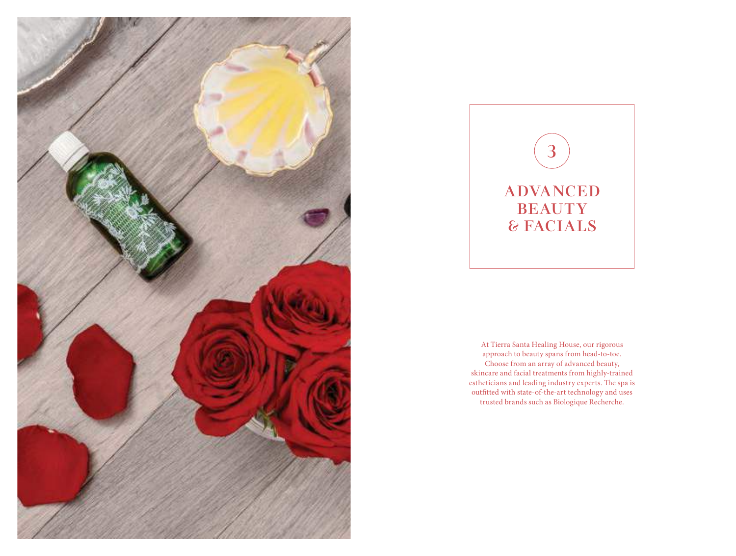



At Tierra Santa Healing House, our rigorous approach to beauty spans from head-to-toe. Choose from an array of advanced beauty, skincare and facial treatments from highly-trained estheticians and leading industry experts. The spa is outfitted with state-of-the-art technology and uses trusted brands such as Biologique Recherche.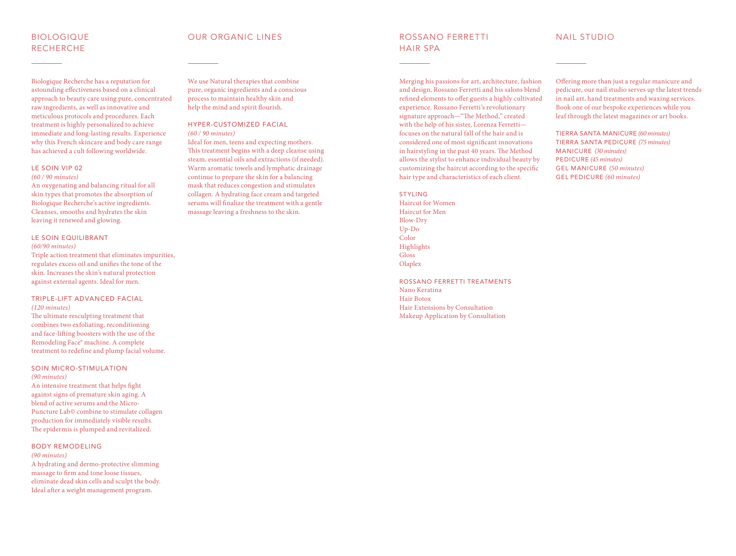## BIOLOGIQUE RECHERCHE

Biologique Recherche has a reputation for astounding effectiveness based on a clinical approach to beauty care using pure, concentrated raw ingredients, as well as innovative and meticulous protocols and procedures. Each treatment is highly personalized to achieve immediate and long-lasting results. Experience why this French skincare and body care range has achieved a cult following worldwide.

#### LE SOIN VIP 02

#### *(60 / 90 minutes)*

An oxygenating and balancing ritual for all skin types that promotes the absorption of Biologique Recherche's active ingredients. Cleanses, smooths and hydrates the skin leaving it renewed and glowing.

## LE SOIN EQUILIBRANT

*(60/90 minutes)* 

Triple action treatment that eliminates impurities, regulates excess oil and unifies the tone of the skin. Increases the skin's natural protection against external agents. Ideal for men.

#### TRIPLE-LIFT ADVANCED FACIAL *(120 minutes)*

The ultimate resculpting treatment that combines two exfoliating, reconditioning and face-lifting boosters with the use of the Remodeling Face® machine. A complete treatment to redefine and plump facial volume.

#### SOIN MICRO-STIMULATION *(90 minutes)*

An intensive treatment that helps fight against signs of premature skin aging. A blend of active serums and the Micro-Puncture Lab© combine to stimulate collagen production for immediately visible results. The epidermis is plumped and revitalized.

#### BODY REMODELING

*(90 minutes)*

A hydrating and dermo-protective slimming massage to firm and tone loose tissues, eliminate dead skin cells and sculpt the body. Ideal after a weight management program.

## OUR ORGANIC LINES

We use Natural therapies that combine pure, organic ingredients and a conscious process to maintain healthy skin and help the mind and spirit flourish.

#### HYPER-CUSTOMIZED FACIAL *(60 / 90 minutes)*

Ideal for men, teens and expecting mothers. This treatment begins with a deep cleanse using steam, essential oils and extractions (if needed). Warm aromatic towels and lymphatic drainage continue to prepare the skin for a balancing mask that reduces congestion and stimulates collagen. A hydrating face cream and targeted serums will finalize the treatment with a gentle massage leaving a freshness to the skin.

## ROSSANO FERRETTI HAIR SPA

Merging his passions for art, architecture, fashion and design, Rossano Ferretti and his salons blend refined elements to offer guests a highly cultivated experience. Rossano Ferretti's revolutionary signature approach—"The Method," created with the help of his sister, Lorenza Ferretti focuses on the natural fall of the hair and is considered one of most significant innovations in hairstyling in the past 40 years. The Method allows the stylist to enhance individual beauty by customizing the haircut according to the specific hair type and characteristics of each client.

**STYLING** Haircut for Women Haircut for Men Blow-Dry Up-Do Color Highlights Gloss Olaplex

ROSSANO FERRETTI TREATMENTS Nano Keratina Hair Botox Hair Extensions by Consultation Makeup Application by Consultation

## NAIL STUDIO

Offering more than just a regular manicure and pedicure, our nail studio serves up the latest trends in nail art, hand treatments and waxing services. Book one of our bespoke experiences while you leaf through the latest magazines or art books.

TIERRA SANTA MANICURE *(60 minutes)* TIERRA SANTA PEDICURE *(75 minutes)* MANICURE *(30 minutes)* PEDICURE *(45 minutes)* GEL MANICURE *(50 minutes)* GEL PEDICURE *(60 minutes)*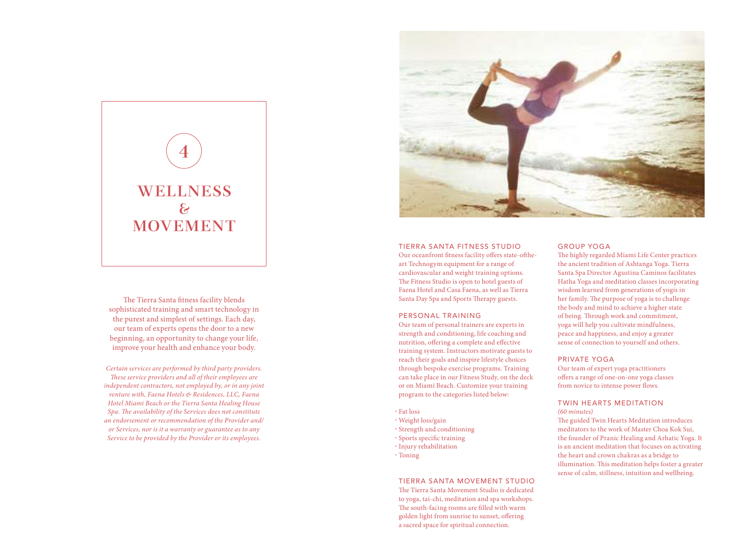

The Tierra Santa fitness facility blends sophisticated training and smart technology in the purest and simplest of settings. Each day, our team of experts opens the door to a new beginning, an opportunity to change your life, improve your health and enhance your body.

*Certain services are performed by third party providers. These service providers and all of their employees are independent contractors, not employed by, or in any joint venture with, Faena Hotels & Residences, LLC, Faena Hotel Miami Beach or the Tierra Santa Healing House Spa. The availability of the Services does not constitute an endorsement or recommendation of the Provider and/ or Services, nor is it a warranty or guarantee as to any Service to be provided by the Provider or its employees.*



#### TIERRA SANTA FITNESS STUDIO

Our oceanfront fitness facility offers state-oftheart Technogym equipment for a range of cardiovascular and weight training options. The Fitness Studio is open to hotel guests of Faena Hotel and Casa Faena, as well as Tierra Santa Day Spa and Sports Therapy guests.

#### PERSONAL TRAINING

Our team of personal trainers are experts in strength and conditioning, life coaching and nutrition, offering a complete and effective training system. Instructors motivate guests to reach their goals and inspire lifestyle choices through bespoke exercise programs. Training can take place in our Fitness Study, on the deck or on Miami Beach. Customize your training program to the categories listed below:

- · Fat loss
- · Weight loss/gain
- · Strength and conditioning
- · Sports specific training
- · Injury rehabilitation
- · Toning

#### TIERRA SANTA MOVEMENT STUDIO

The Tierra Santa Movement Studio is dedicated to yoga, tai-chi, meditation and spa workshops. The south-facing rooms are filled with warm golden light from sunrise to sunset, offering a sacred space for spiritual connection.

#### GROUP YOGA

The highly regarded Miami Life Center practices the ancient tradition of Ashtanga Yoga. Tierra Santa Spa Director Agustina Caminos facilitates Hatha Yoga and meditation classes incorporating wisdom learned from generations of yogis in her family. The purpose of yoga is to challenge the body and mind to achieve a higher state of being. Through work and commitment, yoga will help you cultivate mindfulness, peace and happiness, and enjoy a greater sense of connection to yourself and others.

#### PRIVATE YOGA

Our team of expert yoga practitioners offers a range of one-on-one yoga classes from novice to intense power flows.

#### TWIN HEARTS MEDITATION *(60 minutes)*

The guided Twin Hearts Meditation introduces meditators to the work of Master Choa Kok Sui, the founder of Pranic Healing and Arhatic Yoga. It is an ancient meditation that focuses on activating the heart and crown chakras as a bridge to illumination. This meditation helps foster a greater sense of calm, stillness, intuition and wellbeing.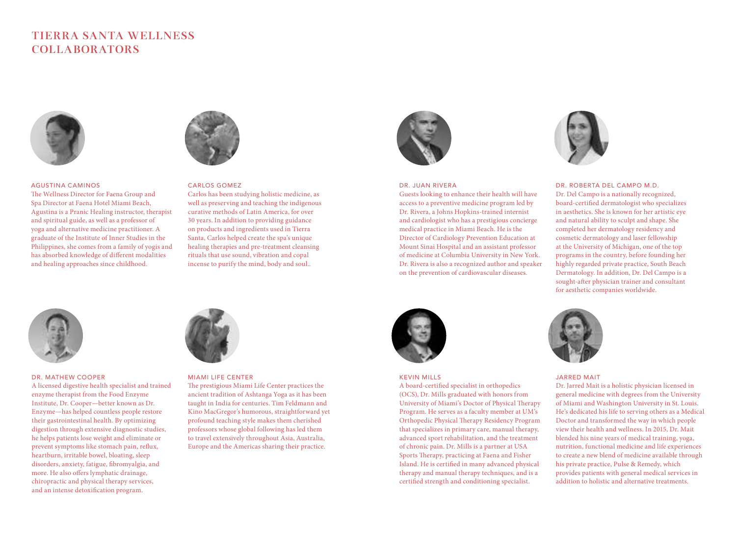## TIERRA SANTA WELLNESS **COLLABORATORS**



#### AGUSTINA CAMINOS

The Wellness Director for Faena Group and Spa Director at Faena Hotel Miami Beach, Agustina is a Pranic Healing instructor, therapist and spiritual guide, as well as a professor of yoga and alternative medicine practitioner. A graduate of the Institute of Inner Studies in the Philippines, she comes from a family of yogis and has absorbed knowledge of different modalities and healing approaches since childhood.



#### CARLOS GOMEZ

Carlos has been studying holistic medicine, as well as preserving and teaching the indigenous curative methods of Latin America, for over 30 years. In addition to providing guidance on products and ingredients used in Tierra Santa, Carlos helped create the spa's unique healing therapies and pre-treatment cleansing rituals that use sound, vibration and copal incense to purify the mind, body and soul..



#### DR. JUAN RIVERA

Guests looking to enhance their health will have access to a preventive medicine program led by Dr. Rivera, a Johns Hopkins-trained internist and cardiologist who has a prestigious concierge medical practice in Miami Beach. He is the Director of Cardiology Prevention Education at Mount Sinai Hospital and an assistant professor of medicine at Columbia University in New York. Dr. Rivera is also a recognized author and speaker on the prevention of cardiovascular diseases.



#### DR. ROBERTA DEL CAMPO M.D. Dr. Del Campo is a nationally recognized, board-certified dermatologist who specializes in aesthetics. She is known for her artistic eye and natural ability to sculpt and shape. She completed her dermatology residency and cosmetic dermatology and laser fellowship at the University of Michigan, one of the top programs in the country, before founding her highly regarded private practice, South Beach Dermatology. In addition, Dr. Del Campo is a sought-after physician trainer and consultant for aesthetic companies worldwide.



#### DR. MATHEW COOPER

A licensed digestive health specialist and trained enzyme therapist from the Food Enzyme Institute, Dr. Cooper—better known as Dr. Enzyme—has helped countless people restore their gastrointestinal health. By optimizing digestion through extensive diagnostic studies, he helps patients lose weight and eliminate or prevent symptoms like stomach pain, reflux, heartburn, irritable bowel, bloating, sleep disorders, anxiety, fatigue, fibromyalgia, and more. He also offers lymphatic drainage, chiropractic and physical therapy services, and an intense detoxification program.



#### MIAMI LIFE CENTER

The prestigious Miami Life Center practices the ancient tradition of Ashtanga Yoga as it has been taught in India for centuries. Tim Feldmann and Kino MacGregor's humorous, straightforward yet profound teaching style makes them cherished professors whose global following has led them to travel extensively throughout Asia, Australia, Europe and the Americas sharing their practice.



#### KEVIN MILLS

A board-certified specialist in orthopedics (OCS), Dr. Mills graduated with honors from University of Miami's Doctor of Physical Therapy Program. He serves as a faculty member at UM's Orthopedic Physical Therapy Residency Program that specializes in primary care, manual therapy, advanced sport rehabilitation, and the treatment of chronic pain. Dr. Mills is a partner at USA Sports Therapy, practicing at Faena and Fisher Island. He is certified in many advanced physical therapy and manual therapy techniques, and is a certified strength and conditioning specialist.



#### JARRED MAIT

Dr. Jarred Mait is a holistic physician licensed in general medicine with degrees from the University of Miami and Washington University in St. Louis. He's dedicated his life to serving others as a Medical Doctor and transformed the way in which people view their health and wellness. In 2015, Dr. Mait blended his nine years of medical training, yoga, nutrition, functional medicine and life experiences to create a new blend of medicine available through his private practice, Pulse & Remedy, which provides patients with general medical services in addition to holistic and alternative treatments.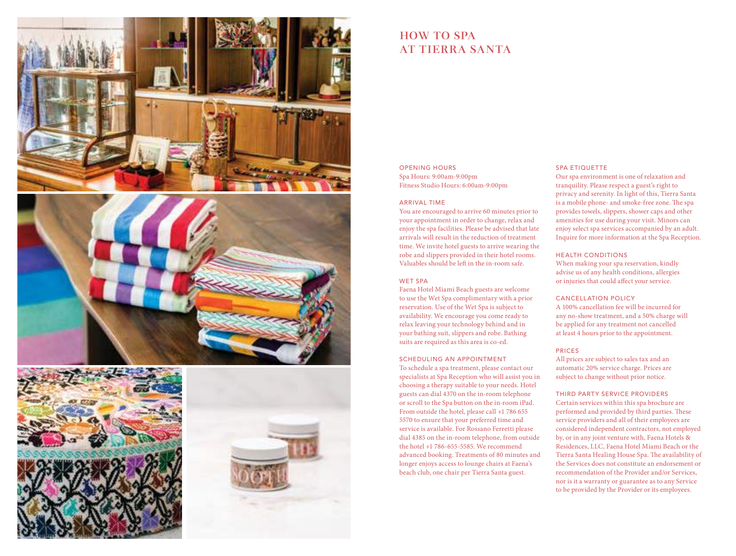







## HOW TO SPA AT TIERRA SANTA

OPENING HOURS Spa Hours: 9:00am-9:00pm Fitness Studio Hours: 6:00am-9:00pm

#### ARRIVAL TIME

You are encouraged to arrive 60 minutes prior to your appointment in order to change, relax and enjoy the spa facilities. Please be advised that late arrivals will result in the reduction of treatment time. We invite hotel guests to arrive wearing the robe and slippers provided in their hotel rooms. Valuables should be left in the in-room safe.

#### WET SPA

Faena Hotel Miami Beach guests are welcome to use the Wet Spa complimentary with a prior reservation. Use of the Wet Spa is subject to availability. We encourage you come ready to relax leaving your technology behind and in your bathing suit, slippers and robe. Bathing suits are required as this area is co-ed.

#### SCHEDULING AN APPOINTMENT

To schedule a spa treatment, please contact our specialists at Spa Reception who will assist you in choosing a therapy suitable to your needs. Hotel guests can dial 4370 on the in-room telephone or scroll to the Spa button on the in-room iPad. From outside the hotel, please call +1 786 655 5570 to ensure that your preferred time and service is available. For Rossano Ferretti please dial 4385 on the in-room telephone, from outside the hotel +1 786-655-5585. We recommend advanced booking. Treatments of 80 minutes and longer enjoys access to lounge chairs at Faena's beach club, one chair per Tierra Santa guest.

#### SPA ETIQUETTE

Our spa environment is one of relaxation and tranquility. Please respect a guest's right to privacy and serenity. In light of this, Tierra Santa is a mobile phone- and smoke-free zone. The spa provides towels, slippers, shower caps and other amenities for use during your visit. Minors can enjoy select spa services accompanied by an adult. Inquire for more information at the Spa Reception.

#### HEALTH CONDITIONS

When making your spa reservation, kindly advise us of any health conditions, allergies or injuries that could affect your service.

#### CANCELLATION POLICY

A 100% cancellation fee will be incurred for any no-show treatment, and a 50% charge will be applied for any treatment not cancelled at least 4 hours prior to the appointment.

#### PRICES

All prices are subject to sales tax and an automatic 20% service charge. Prices are subject to change without prior notice.

#### THIRD PARTY SERVICE PROVIDERS

Certain services within this spa brochure are performed and provided by third parties. These service providers and all of their employees are considered independent contractors, not employed by, or in any joint venture with, Faena Hotels & Residences, LLC, Faena Hotel Miami Beach or the Tierra Santa Healing House Spa. The availability of the Services does not constitute an endorsement or recommendation of the Provider and/or Services, nor is it a warranty or guarantee as to any Service to be provided by the Provider or its employees.